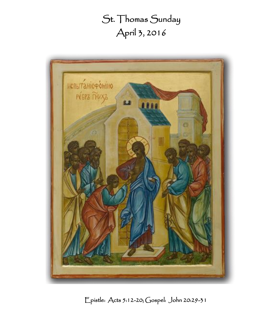# St. Thomas Sunday April 3, 2016



Epistle: Acts 5:12-20; Gospel: John 20:29-31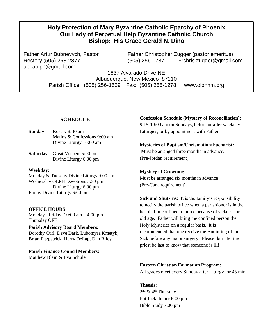## **Holy Protection of Mary Byzantine Catholic Eparchy of Phoenix Our Lady of Perpetual Help Byzantine Catholic Church Bishop: His Grace Gerald N. Dino**

abbaolph@gmail.com

Father Artur Bubnevych, Pastor Father Christopher Zugger (pastor emeritus) Rectory (505) 268-2877 (505) 256-1787 Frchris.zugger@gmail.com

> 1837 Alvarado Drive NE Albuquerque, New Mexico 87110 Parish Office: (505) 256-1539 Fax: (505) 256-1278 www.olphnm.org

#### **SCHEDULE**

**Sunday:** Rosary 8**:**30 am Matins & Confessions 9:00 am Divine Liturgy 10:00 am

**Saturday**: Great Vespers 5:00 pm Divine Liturgy 6:00 pm

**Weekday**:

Monday & Tuesday Divine Liturgy 9:00 am Wednesday OLPH Devotions 5:30 pm Divine Liturgy 6:00 pm Friday Divine Liturgy 6:00 pm

#### **OFFICE HOURS:**

Monday - Friday: 10:00 am – 4:00 pm Thursday OFF

**Parish Advisory Board Members:** Dorothy Curl, Dave Dark, Lubomyra Kmetyk, Brian Fitzpatrick, Harry DeLap, Dan Riley

**Parish Finance Council Members:** Matthew Blain & Eva Schuler

# **Confession Schedule (Mystery of Reconciliation):**

9:15-10:00 am on Sundays, before or after weekday Liturgies, or by appointment with Father

#### **Mysteries of Baptism/Chrismation/Eucharist:**

Must be arranged three months in advance. (Pre-Jordan requirement)

#### **Mystery of Crowning:**

Must be arranged six months in advance (Pre-Cana requirement)

**Sick and Shut-Ins:** It is the family's responsibility to notify the parish office when a parishioner is in the hospital or confined to home because of sickness or old age. Father will bring the confined person the Holy Mysteries on a regular basis. It is recommended that one receive the Anointing of the Sick before any major surgery. Please don't let the priest be last to know that someone is ill!

#### **Eastern Christian Formation Program**:

All grades meet every Sunday after Liturgy for 45 min

#### **Theosis:**

2<sup>nd</sup> & 4<sup>th</sup> Thursday Pot-luck dinner 6:00 pm Bible Study 7:00 pm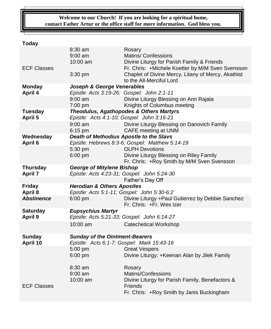## **Welcome to our Church! If you are looking for a spiritual home, contact Father Artur or the office staff for more information. God bless you.**

# **Today**

|                              | 8:30 am                                                                               | Rosary                                                                       |  |
|------------------------------|---------------------------------------------------------------------------------------|------------------------------------------------------------------------------|--|
|                              | $9:00$ am                                                                             | <b>Matins/ Confessions</b>                                                   |  |
|                              | 10:00 am                                                                              | Divine Liturgy for Parish Family & Friends                                   |  |
| <b>ECF Classes</b>           |                                                                                       | Fr. Chris: +Michele Koetter by M/M Sven Svensson                             |  |
|                              | 3:30 pm                                                                               | Chaplet of Divine Mercy, Litany of Mercy, Akathist                           |  |
|                              |                                                                                       | to the All-Merciful Lord                                                     |  |
| <b>Monday</b>                | Joseph & George Venerables                                                            |                                                                              |  |
| <b>April 4</b>               | Epistle: Acts 3:19-26; Gospel: John 2:1-11                                            |                                                                              |  |
|                              | $9:00$ am                                                                             | Divine Liturgy Blessing on Ann Rajala                                        |  |
|                              | 7:00 pm                                                                               | Knights of Columbus meeting                                                  |  |
| Tuesday                      | Theodulus, Agathopodes & Others Martyrs<br>Epistle: Acts 4:1-10; Gospel: John 3:16-21 |                                                                              |  |
| April 5                      |                                                                                       |                                                                              |  |
|                              | $9:00$ am                                                                             | Divine Liturgy Blessing on Danovich Family                                   |  |
|                              | $6:15$ pm                                                                             | CAFE meeting at UNM                                                          |  |
| Wednesday                    | Death of Methodius Apostle to the Slavs                                               |                                                                              |  |
| April 6                      |                                                                                       | Epistle: Hebrews 8:3-6; Gospel: Matthew 5:14-19                              |  |
|                              | 5:30 pm                                                                               | <b>OLPH Devotions</b>                                                        |  |
|                              | 6:00 pm                                                                               | Divine Liturgy Blessing on Riley Family                                      |  |
|                              |                                                                                       | Fr. Chris: +Roy Smith by M/M Sven Svensson                                   |  |
| <b>Thursday</b>              | <b>George of Mitylene Bishop</b>                                                      |                                                                              |  |
| <b>April 7</b>               |                                                                                       | Epistle: Acts 4:23-31; Gospel: John 5:24-30                                  |  |
|                              |                                                                                       | Father's Day Off                                                             |  |
| <b>Friday</b>                | <b>Herodian &amp; Others Apostles</b>                                                 |                                                                              |  |
| April 8<br><b>Abstinence</b> | Epistle: Acts 5:1-11; Gospel: John 5:30-6:2                                           |                                                                              |  |
|                              | $6:00$ pm                                                                             | Divine Liturgy +Paul Gutierrez by Debbie Sanchez<br>Fr. Chris: +Fr. Wes Izer |  |
| <b>Saturday</b>              | <b>Eupsychius Martyr</b>                                                              |                                                                              |  |
| <b>April 9</b>               | Epistle: Acts 5:21-33; Gospel: John 6:14-27                                           |                                                                              |  |
|                              | $10:00$ am                                                                            | <b>Catechetical Workshop</b>                                                 |  |
|                              |                                                                                       |                                                                              |  |
| <b>Sunday</b>                | <b>Sunday of the Ointment-Bearers</b><br>Epistle: Acts 6:1-7; Gospel: Mark 15:43-16   |                                                                              |  |
| April 10                     |                                                                                       |                                                                              |  |
|                              | 5:00 pm                                                                               | <b>Great Vespers</b>                                                         |  |
|                              | $6:00$ pm                                                                             | Divine Liturgy; +Keenan Alan by Jilek Family                                 |  |
|                              |                                                                                       |                                                                              |  |
|                              | 8:30 am                                                                               | Rosary                                                                       |  |
|                              | $9:00$ am                                                                             | Matins/Confessions                                                           |  |
|                              | 10:00 am                                                                              | Divine Liturgy for Parish Family, Benefactors &                              |  |
| <b>ECF Classes</b>           |                                                                                       | Friends                                                                      |  |
|                              |                                                                                       | Fr. Chris: +Roy Smith by Janis Buckingham                                    |  |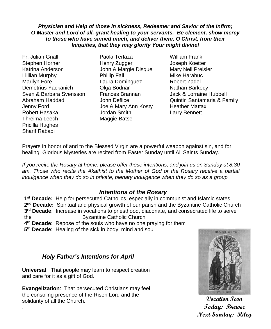*Physician and Help of those in sickness, Redeemer and Savior of the infirm; O Master and Lord of all, grant healing to your servants. Be clement, show mercy to those who have sinned much, and deliver them, O Christ, from their Iniquities, that they may glorify Your might divine!*

Fr. Julian Gnall Paola Terlaza William Frank Stephen Horner Henry Zugger Joseph Koetter Katrina Anderson **John & Margie Disque** Mary Nell Preisler Lilllian Murphy **Phillip Fall** Mike Harahuc Marilyn Fore Laura Dominguez Robert Zadel Demetrius Yackanich **Olga Bodnar** Nathan Barkocy Sven & Barbara Svensson Frances Brannan Jack & Lorraine Hubbell Jenny Ford Joe & Mary Ann Kosty Heather Mattax Robert Hasaka Jordan Smith Larry Bennett Threima Leech Maggie Batsel Pricilla Hughes Sharif Rabadi

- 
- Abraham Haddad John Deflice Quintin Santamaria & Family

Prayers in honor of and to the Blessed Virgin are a powerful weapon against sin, and for healing. Glorious Mysteries are recited from Easter Sunday until All Saints Sunday.

*If you recite the Rosary at home, please offer these intentions, and join us on Sunday at 8:30*  am. Those who recite the Akathist to the Mother of God or the Rosary receive a partial *indulgence when they do so in private, plenary indulgence when they do so as a group*

## *Intentions of the Rosary*

 **st Decade:** Help for persecuted Catholics, especially in communist and Islamic states **nd Decade:** Spiritual and physical growth of our parish and the Byzantine Catholic Church **rd Decade**: Increase in vocations to priesthood, diaconate, and consecrated life to serve the Byzantine Catholic Church **th Decade**: Repose of the souls who have no one praying for them

**5 th Decade**: Healing of the sick in body, mind and soul

# *Holy Father's Intentions for April*

**Universal**: That people may learn to respect creation and care for it as a gift of God.

**Evangelization**: That persecuted Christians may feel the consoling presence of the Risen Lord and the solidarity of all the Church.

.



**Vocation Icon Today: Brewer Next Sunday: Riley**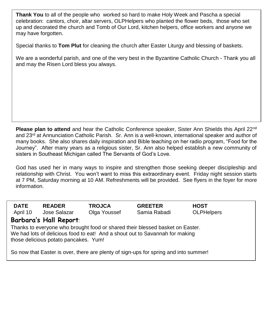celebration: cantors, choir, altar servers, OLPHelpers who planted the flower beds, those who set<br>up and desergied the shugh and Tamb of Our Lard, kitchen belpare, effice werkers and anyone wa ap and decorated in **Thank You** to all of the people who worked so hard to make Holy Week and Pascha a special up and decorated the church and Tomb of Our Lord, kitchen helpers, office workers and anyone we

Special thanks to **Tom Plut** for cleaning the church after Easter Liturgy and blessing of baskets.

We are a wonderful parish, and one of the very best in the Byzantine Catholic Church - Thank you all and may the Risen Lord bless you always.

**Please plan to attend** and hear the Catholic Conference speaker, Sister Ann Shields this April 22nd and 23<sup>rd</sup> at Annunciation Catholic Parish. Sr. Ann is a well-known, international speaker and author of many books. She also shares daily inspiration and Bible teaching on her radio program, "Food for the Journey". After many years as a religious sister, Sr. Ann also helped establish a new community of sisters in Southeast Michigan called The Servants of God's Love.

God has used her in many ways to inspire and strengthen those seeking deeper discipleship and relationship with Christ. You won't want to miss this extraordinary event. Friday night session starts at 7 PM, Saturday morning at 10 AM. Refreshments will be provided. See flyers in the foyer for more information.

| <b>DATE</b><br>April 10                                                                                                                                                                                | <b>READER</b><br>Jose Salazar | <b>TROJCA</b><br>Olga Youssef | <b>GREETER</b><br>Samia Rabadi | <b>HOST</b><br><b>OLPHelpers</b> |  |
|--------------------------------------------------------------------------------------------------------------------------------------------------------------------------------------------------------|-------------------------------|-------------------------------|--------------------------------|----------------------------------|--|
| Barbara's Hall Report:                                                                                                                                                                                 |                               |                               |                                |                                  |  |
| Thanks to everyone who brought food or shared their blessed basket on Easter.<br>We had lots of delicious food to eat! And a shout out to Savannah for making<br>those delicious potato pancakes. Yum! |                               |                               |                                |                                  |  |
| So now that Easter is over, there are plenty of sign-ups for spring and into summer!                                                                                                                   |                               |                               |                                |                                  |  |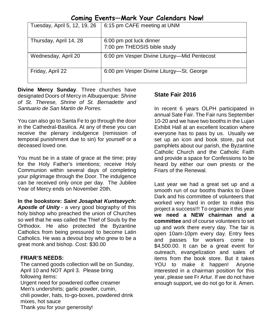|  | Coming Events-Mark Your Calendars Now! |  |  |  |
|--|----------------------------------------|--|--|--|
|--|----------------------------------------|--|--|--|

| Tuesday, April 5, 12, 19, 26 | 6:15 pm CAFE meeting at UNM                            |
|------------------------------|--------------------------------------------------------|
| Thursday, April 14, 28       | 6:00 pm pot luck dinner<br>7:00 pm THEOSIS bible study |
| Wednesday, April 20          | 6:00 pm Vesper Divine Liturgy—Mid Pentecost            |
| Friday, April 22             | 6:00 pm Vesper Divine Liturgy—St. George               |

**Divine Mercy Sunday**. Three churches have designated Doors of Mercy in Albuquerque: *Shrine of St. Therese, Shrine of St. Bernadette and Santuario de San Martin de Porres.*

You can also go to Santa Fe to go through the door in the Cathedral-Basilica. At any of these you can receive the plenary indulgence (remission of temporal punishment due to sin) for yourself or a deceased loved one.

You must be in a state of grace at the time; pray for the Holy Father's intentions; receive Holy Communion within several days of completing your pilgrimage through the Door. The indulgence can be received only once per day. The Jubilee Year of Mercy ends on November 20th.

**In the bookstore:** *Saint Josaphat Kuntsevych: Apostle of Unity* - a very good biography of this holy bishop who preached the union of Churches so well that he was called the Thief of Souls by the Orthodox. He also protected the Byzantine Catholics from being pressured to become Latin Catholics. He was a devout boy who grew to be a great monk and bishop. Cost: \$30.00

### **FRIAR'S NEEDS:**

The canned goods collection will be on Sunday, April 10 and NOT April 3. Please bring following items: Urgent need for powdered coffee creamer Men's undershirts; garlic powder, cumin, chili powder, hats, to-go-boxes, powdered drink mixes, hot sauce Thank you for your generosity!

# **State Fair 2016**

In recent 6 years OLPH participated in annual Sate Fair. The Fair runs September 10-20 and we have two booths in the Lujan Exhibit Hall at an excellent location where everyone has to pass by us. Usually we set up an icon and book store, put out pamphlets about our parish, the Byzantine Catholic Church and the Catholic Faith and provide a space for Confessions to be heard by either our own priests or the Friars of the Renewal.

Last year we had a great set up and a smooth run of our booths thanks to Dave Dark and his committee of volunteers that worked very hard in order to make this project a success!!! To organize it this year **we need a NEW chairman and a committee** and of course volunteers to set up and work there every day. The fair is open 10am-10pm every day. Entry fees and passes for workers come to \$4,500.00. It can be a great event for outreach, evangelization and sales of items from the book store. But it takes YOU to make it happen! Anyone interested in a chairman position for this year, please see Fr Artur. If we do not have enough support, we do not go for it. Amen.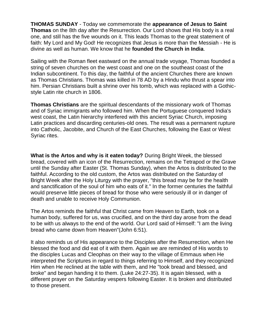**THOMAS SUNDAY** - Today we commemorate the **appearance of Jesus to Saint Thomas** on the 8th day after the Resurrection. Our Lord shows that His body is a real one, and still has the five wounds on it. This leads Thomas to the great statement of faith: My Lord and My God! He recognizes that Jesus is more than the Messiah - He is divine as well as human. We know that he **founded the Church in India**.

Sailing with the Roman fleet eastward on the annual trade voyage, Thomas founded a string of seven churches on the west coast and one on the southeast coast of the Indian subcontinent. To this day, the faithful of the ancient Churches there are known as Thomas Christians. Thomas was killed in 78 AD by a Hindu who thrust a spear into him. Persian Christians built a shrine over his tomb, which was replaced with a Gothicstyle Latin rite church in 1806.

**Thomas Christians** are the spiritual descendants of the missionary work of Thomas and of Syriac immigrants who followed him. When the Portuguese conquered India's west coast, the Latin hierarchy interfered with this ancient Syriac Church, imposing Latin practices and discarding centuries-old ones. The result was a permanent rupture into Catholic, Jacobite, and Church of the East Churches, following the East or West Syriac rites.

**What is the Artos and why is it eaten today?** During Bright Week, the blessed bread, covered with an icon of the Resurrection, remains on the Tetrapod or the Grave until the Sunday after Easter (St. Thomas Sunday), when the Artos is distributed to the faithful. According to the old custom, the Artos was distributed on the Saturday of Bright Week after the Holy Liturgy with the prayer, "this bread may be for the health and sanctification of the soul of him who eats of it." In the former centuries the faithful would preserve little pieces of bread for those who were seriously ill or in danger of death and unable to receive Holy Communion.

The Artos reminds the faithful that Christ came from Heaven to Earth, took on a human body, suffered for us, was crucified, and on the third day arose from the dead to be with us always to the end of the world. Our Lord said of Himself: "I am the living bread who came down from Heaven"(John 6:51).

It also reminds us of His appearance to the Disciples after the Resurrection, when He blessed the food and did eat of it with them. Again we are reminded of His words to the disciples Lucas and Cleophas on their way to the village of Emmaus when He interpreted the Scriptures in regard to things referring to Himself, and they recognized Him when He reclined at the table with them, and He "took bread and blessed, and broke" and began handing it to them. (Luke 24:27-35). It is again blessed, with a different prayer on the Saturday vespers following Easter. It is broken and distributed to those present.